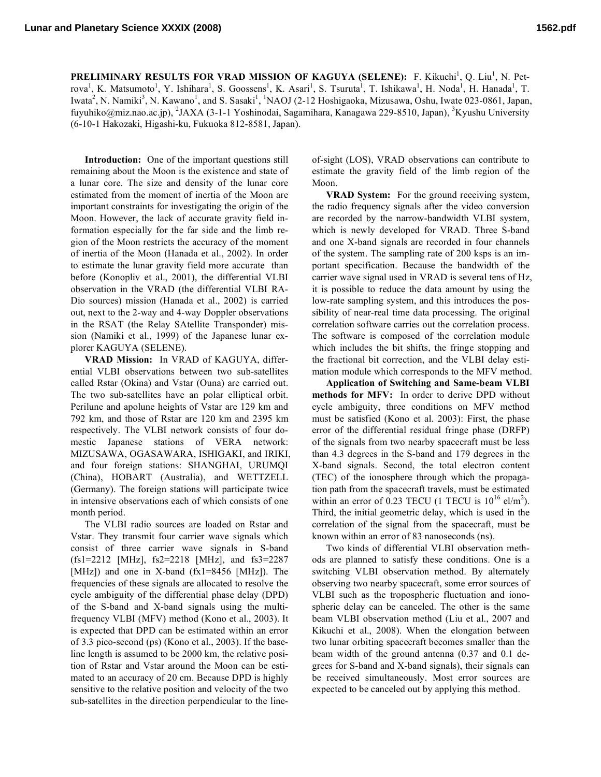**PRELIMINARY RESULTS FOR VRAD MISSION OF KAGUYA (SELENE):** F. Kikuchi<sup>1</sup>, Q. Liu<sup>1</sup>, N. Petrova<sup>1</sup>, K. Matsumoto<sup>1</sup>, Y. Ishihara<sup>1</sup>, S. Goossens<sup>1</sup>, K. Asari<sup>1</sup>, S. Tsuruta<sup>1</sup>, T. Ishikawa<sup>1</sup>, H. Noda<sup>1</sup>, H. Hanada<sup>1</sup>, T. Iwata<sup>2</sup>, N. Namiki<sup>3</sup>, N. Kawano<sup>1</sup>, and S. Sasaki<sup>1</sup>, <sup>1</sup>NAOJ (2-12 Hoshigaoka, Mizusawa, Oshu, Iwate 023-0861, Japan, fuyuhiko@miz.nao.ac.jp), <sup>2</sup>JAXA (3-1-1 Yoshinodai, Sagamihara, Kanagawa 229-8510, Japan), <sup>3</sup>Kyushu University (6-10-1 Hakozaki, Higashi-ku, Fukuoka 812-8581, Japan).

**Introduction:** One of the important questions still remaining about the Moon is the existence and state of a lunar core. The size and density of the lunar core estimated from the moment of inertia of the Moon are important constraints for investigating the origin of the Moon. However, the lack of accurate gravity field information especially for the far side and the limb region of the Moon restricts the accuracy of the moment of inertia of the Moon (Hanada et al., 2002). In order to estimate the lunar gravity field more accurate than before (Konopliv et al., 2001), the differential VLBI observation in the VRAD (the differential VLBI RA-Dio sources) mission (Hanada et al., 2002) is carried out, next to the 2-way and 4-way Doppler observations in the RSAT (the Relay SAtellite Transponder) mission (Namiki et al., 1999) of the Japanese lunar explorer KAGUYA (SELENE).

**VRAD Mission:** In VRAD of KAGUYA, differential VLBI observations between two sub-satellites called Rstar (Okina) and Vstar (Ouna) are carried out. The two sub-satellites have an polar elliptical orbit. Perilune and apolune heights of Vstar are 129 km and 792 km, and those of Rstar are 120 km and 2395 km respectively. The VLBI network consists of four domestic Japanese stations of VERA network: MIZUSAWA, OGASAWARA, ISHIGAKI, and IRIKI, and four foreign stations: SHANGHAI, URUMQI (China), HOBART (Australia), and WETTZELL (Germany). The foreign stations will participate twice in intensive observations each of which consists of one month period.

The VLBI radio sources are loaded on Rstar and Vstar. They transmit four carrier wave signals which consist of three carrier wave signals in S-band (fs1=2212 [MHz], fs2=2218 [MHz], and fs3=2287 [MHz]) and one in X-band (fx1=8456 [MHz]). The frequencies of these signals are allocated to resolve the cycle ambiguity of the differential phase delay (DPD) of the S-band and X-band signals using the multifrequency VLBI (MFV) method (Kono et al., 2003). It is expected that DPD can be estimated within an error of 3.3 pico-second (ps) (Kono et al., 2003). If the baseline length is assumed to be 2000 km, the relative position of Rstar and Vstar around the Moon can be estimated to an accuracy of 20 cm. Because DPD is highly sensitive to the relative position and velocity of the two sub-satellites in the direction perpendicular to the lineof-sight (LOS), VRAD observations can contribute to estimate the gravity field of the limb region of the Moon.

**VRAD System:** For the ground receiving system, the radio frequency signals after the video conversion are recorded by the narrow-bandwidth VLBI system, which is newly developed for VRAD. Three S-band and one X-band signals are recorded in four channels of the system. The sampling rate of 200 ksps is an important specification. Because the bandwidth of the carrier wave signal used in VRAD is several tens of Hz, it is possible to reduce the data amount by using the low-rate sampling system, and this introduces the possibility of near-real time data processing. The original correlation software carries out the correlation process. The software is composed of the correlation module which includes the bit shifts, the fringe stopping and the fractional bit correction, and the VLBI delay estimation module which corresponds to the MFV method.

**Application of Switching and Same-beam VLBI methods for MFV:** In order to derive DPD without cycle ambiguity, three conditions on MFV method must be satisfied (Kono et al. 2003): First, the phase error of the differential residual fringe phase (DRFP) of the signals from two nearby spacecraft must be less than 4.3 degrees in the S-band and 179 degrees in the X-band signals. Second, the total electron content (TEC) of the ionosphere through which the propagation path from the spacecraft travels, must be estimated within an error of 0.23 TECU (1 TECU is  $10^{16}$  el/m<sup>2</sup>). Third, the initial geometric delay, which is used in the correlation of the signal from the spacecraft, must be known within an error of 83 nanoseconds (ns).

Two kinds of differential VLBI observation methods are planned to satisfy these conditions. One is a switching VLBI observation method. By alternately observing two nearby spacecraft, some error sources of VLBI such as the tropospheric fluctuation and ionospheric delay can be canceled. The other is the same beam VLBI observation method (Liu et al., 2007 and Kikuchi et al., 2008). When the elongation between two lunar orbiting spacecraft becomes smaller than the beam width of the ground antenna (0.37 and 0.1 degrees for S-band and X-band signals), their signals can be received simultaneously. Most error sources are expected to be canceled out by applying this method.